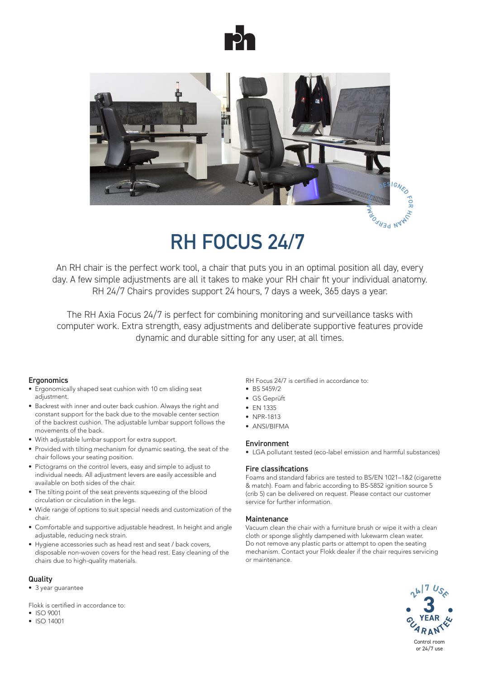



# **RH FOCUS 24/7**

An RH chair is the perfect work tool, a chair that puts you in an optimal position all day, every day. A few simple adjustments are all it takes to make your RH chair fit your individual anatomy. RH 24/7 Chairs provides support 24 hours, 7 days a week, 365 days a year.

The RH Axia Focus 24/7 is perfect for combining monitoring and surveillance tasks with computer work. Extra strength, easy adjustments and deliberate supportive features provide dynamic and durable sitting for any user, at all times.

### **Ergonomics**

- Ergonomically shaped seat cushion with 10 cm sliding seat adjustment.
- Backrest with inner and outer back cushion. Always the right and constant support for the back due to the movable center section of the backrest cushion. The adjustable lumbar support follows the movements of the back.
- With adjustable lumbar support for extra support.
- Provided with tilting mechanism for dynamic seating, the seat of the chair follows your seating position.
- Pictograms on the control levers, easy and simple to adjust to individual needs. All adjustment levers are easily accessible and available on both sides of the chair.
- The tilting point of the seat prevents squeezing of the blood circulation or circulation in the legs.
- Wide range of options to suit special needs and customization of the chair.
- Comfortable and supportive adjustable headrest. In height and angle adjustable, reducing neck strain.
- Hygiene accessories such as head rest and seat / back covers, disposable non-woven covers for the head rest. Easy cleaning of the chairs due to high-quality materials.

### **Quality**

• 3 year guarantee

Flokk is certified in accordance to:

- ISO 9001
- ISO 14001

#### RH Focus 24/7 is certified in accordance to:

- BS 5459/2
- GS Geprüft
- EN 1335
- NPR-1813
- ANSI/BIFMA

#### Environment

• LGA pollutant tested (eco-label emission and harmful substances)

#### Fire classifications

Foams and standard fabrics are tested to BS/EN 1021–1&2 (cigarette & match). Foam and fabric according to BS-5852 ignition source 5 (crib 5) can be delivered on request. Please contact our customer service for further information.

#### **Maintenance**

Vacuum clean the chair with a furniture brush or wipe it with a clean cloth or sponge slightly dampened with lukewarm clean water. Do not remove any plastic parts or attempt to open the seating mechanism. Contact your Flokk dealer if the chair requires servicing or maintenance.